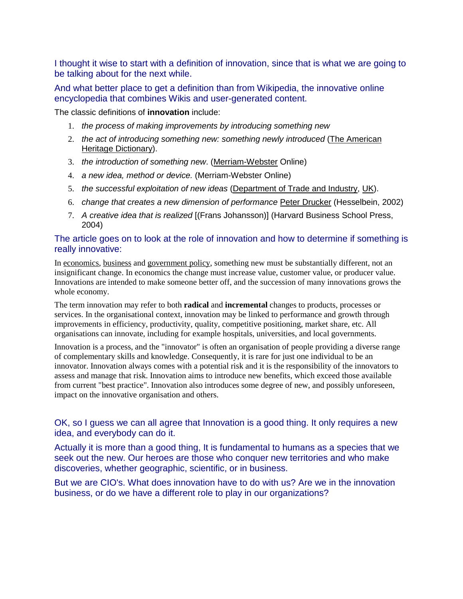I thought it wise to start with a definition of innovation, since that is what we are going to be talking about for the next while.

And what better place to get a definition than from Wikipedia, the innovative online encyclopedia that combines Wikis and user-generated content.

The classic definitions of **innovation** include:

- 1. the process of making improvements by introducing something new
- 2. the act of introducing something new: something newly introduced (The American Heritage Dictionary).
- 3. the introduction of something new. (Merriam-Webster Online)
- 4. a new idea, method or device. (Merriam-Webster Online)
- 5. the successful exploitation of new ideas (Department of Trade and Industry, UK).
- 6. change that creates a new dimension of performance Peter Drucker (Hesselbein, 2002)
- 7. A creative idea that is realized [(Frans Johansson)] (Harvard Business School Press, 2004)

## The article goes on to look at the role of innovation and how to determine if something is really innovative:

In economics, business and government policy, something new must be substantially different, not an insignificant change. In economics the change must increase value, customer value, or producer value. Innovations are intended to make someone better off, and the succession of many innovations grows the whole economy.

The term innovation may refer to both **radical** and **incremental** changes to products, processes or services. In the organisational context, innovation may be linked to performance and growth through improvements in efficiency, productivity, quality, competitive positioning, market share, etc. All organisations can innovate, including for example hospitals, universities, and local governments.

Innovation is a process, and the "innovator" is often an organisation of people providing a diverse range of complementary skills and knowledge. Consequently, it is rare for just one individual to be an innovator. Innovation always comes with a potential risk and it is the responsibility of the innovators to assess and manage that risk. Innovation aims to introduce new benefits, which exceed those available from current "best practice". Innovation also introduces some degree of new, and possibly unforeseen, impact on the innovative organisation and others.

OK, so I guess we can all agree that Innovation is a good thing. It only requires a new idea, and everybody can do it.

Actually it is more than a good thing, It is fundamental to humans as a species that we seek out the new. Our heroes are those who conquer new territories and who make discoveries, whether geographic, scientific, or in business.

But we are CIO's. What does innovation have to do with us? Are we in the innovation business, or do we have a different role to play in our organizations?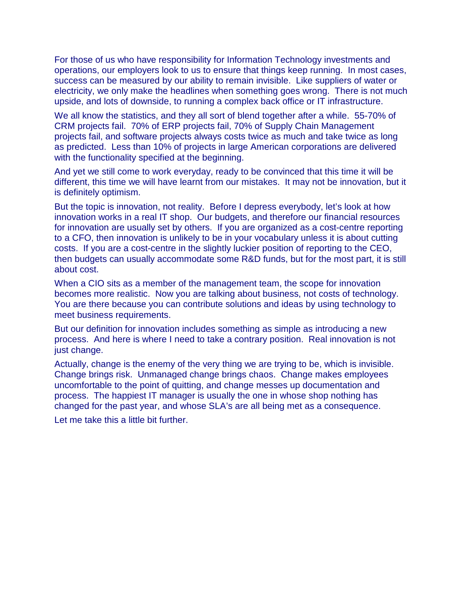For those of us who have responsibility for Information Technology investments and operations, our employers look to us to ensure that things keep running. In most cases, success can be measured by our ability to remain invisible. Like suppliers of water or electricity, we only make the headlines when something goes wrong. There is not much upside, and lots of downside, to running a complex back office or IT infrastructure.

We all know the statistics, and they all sort of blend together after a while. 55-70% of CRM projects fail. 70% of ERP projects fail, 70% of Supply Chain Management projects fail, and software projects always costs twice as much and take twice as long as predicted. Less than 10% of projects in large American corporations are delivered with the functionality specified at the beginning.

And yet we still come to work everyday, ready to be convinced that this time it will be different, this time we will have learnt from our mistakes. It may not be innovation, but it is definitely optimism.

But the topic is innovation, not reality. Before I depress everybody, let's look at how innovation works in a real IT shop. Our budgets, and therefore our financial resources for innovation are usually set by others. If you are organized as a cost-centre reporting to a CFO, then innovation is unlikely to be in your vocabulary unless it is about cutting costs. If you are a cost-centre in the slightly luckier position of reporting to the CEO, then budgets can usually accommodate some R&D funds, but for the most part, it is still about cost.

When a CIO sits as a member of the management team, the scope for innovation becomes more realistic. Now you are talking about business, not costs of technology. You are there because you can contribute solutions and ideas by using technology to meet business requirements.

But our definition for innovation includes something as simple as introducing a new process. And here is where I need to take a contrary position. Real innovation is not just change.

Actually, change is the enemy of the very thing we are trying to be, which is invisible. Change brings risk. Unmanaged change brings chaos. Change makes employees uncomfortable to the point of quitting, and change messes up documentation and process. The happiest IT manager is usually the one in whose shop nothing has changed for the past year, and whose SLA's are all being met as a consequence.

Let me take this a little bit further.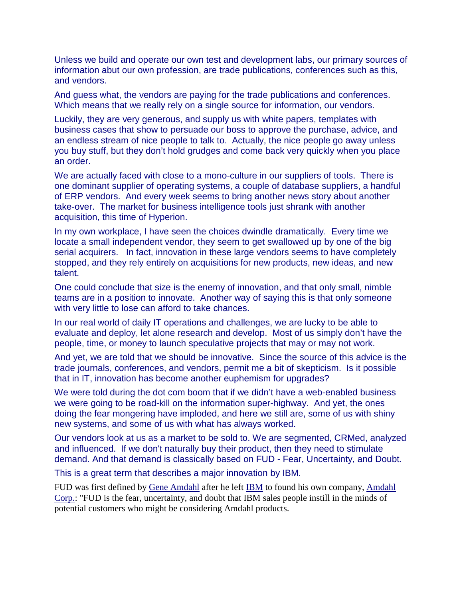Unless we build and operate our own test and development labs, our primary sources of information abut our own profession, are trade publications, conferences such as this, and vendors.

And guess what, the vendors are paying for the trade publications and conferences. Which means that we really rely on a single source for information, our vendors.

Luckily, they are very generous, and supply us with white papers, templates with business cases that show to persuade our boss to approve the purchase, advice, and an endless stream of nice people to talk to. Actually, the nice people go away unless you buy stuff, but they don't hold grudges and come back very quickly when you place an order.

We are actually faced with close to a mono-culture in our suppliers of tools. There is one dominant supplier of operating systems, a couple of database suppliers, a handful of ERP vendors. And every week seems to bring another news story about another take-over. The market for business intelligence tools just shrank with another acquisition, this time of Hyperion.

In my own workplace, I have seen the choices dwindle dramatically. Every time we locate a small independent vendor, they seem to get swallowed up by one of the big serial acquirers. In fact, innovation in these large vendors seems to have completely stopped, and they rely entirely on acquisitions for new products, new ideas, and new talent.

One could conclude that size is the enemy of innovation, and that only small, nimble teams are in a position to innovate. Another way of saying this is that only someone with very little to lose can afford to take chances.

In our real world of daily IT operations and challenges, we are lucky to be able to evaluate and deploy, let alone research and develop. Most of us simply don't have the people, time, or money to launch speculative projects that may or may not work.

And yet, we are told that we should be innovative. Since the source of this advice is the trade journals, conferences, and vendors, permit me a bit of skepticism. Is it possible that in IT, innovation has become another euphemism for upgrades?

We were told during the dot com boom that if we didn't have a web-enabled business we were going to be road-kill on the information super-highway. And yet, the ones doing the fear mongering have imploded, and here we still are, some of us with shiny new systems, and some of us with what has always worked.

Our vendors look at us as a market to be sold to. We are segmented, CRMed, analyzed and influenced. If we don't naturally buy their product, then they need to stimulate demand. And that demand is classically based on FUD - Fear, Uncertainty, and Doubt.

This is a great term that describes a major innovation by IBM.

FUD was first defined by Gene Amdahl after he left IBM to found his own company, Amdahl Corp.: "FUD is the fear, uncertainty, and doubt that IBM sales people instill in the minds of potential customers who might be considering Amdahl products.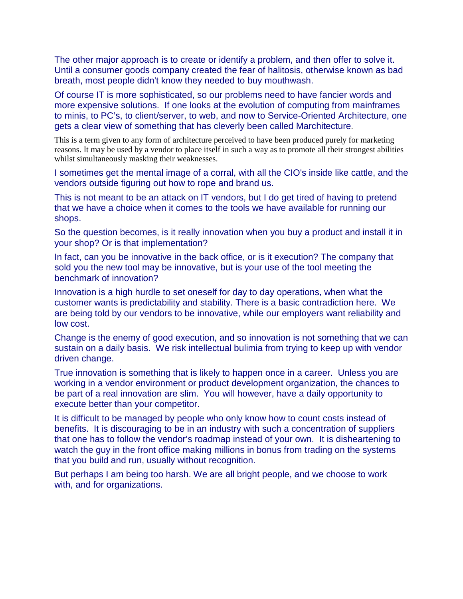The other major approach is to create or identify a problem, and then offer to solve it. Until a consumer goods company created the fear of halitosis, otherwise known as bad breath, most people didn't know they needed to buy mouthwash.

Of course IT is more sophisticated, so our problems need to have fancier words and more expensive solutions. If one looks at the evolution of computing from mainframes to minis, to PC's, to client/server, to web, and now to Service-Oriented Architecture, one gets a clear view of something that has cleverly been called Marchitecture.

This is a term given to any form of architecture perceived to have been produced purely for marketing reasons. It may be used by a vendor to place itself in such a way as to promote all their strongest abilities whilst simultaneously masking their weaknesses.

I sometimes get the mental image of a corral, with all the CIO's inside like cattle, and the vendors outside figuring out how to rope and brand us.

This is not meant to be an attack on IT vendors, but I do get tired of having to pretend that we have a choice when it comes to the tools we have available for running our shops.

So the question becomes, is it really innovation when you buy a product and install it in your shop? Or is that implementation?

In fact, can you be innovative in the back office, or is it execution? The company that sold you the new tool may be innovative, but is your use of the tool meeting the benchmark of innovation?

Innovation is a high hurdle to set oneself for day to day operations, when what the customer wants is predictability and stability. There is a basic contradiction here. We are being told by our vendors to be innovative, while our employers want reliability and low cost.

Change is the enemy of good execution, and so innovation is not something that we can sustain on a daily basis. We risk intellectual bulimia from trying to keep up with vendor driven change.

True innovation is something that is likely to happen once in a career. Unless you are working in a vendor environment or product development organization, the chances to be part of a real innovation are slim. You will however, have a daily opportunity to execute better than your competitor.

It is difficult to be managed by people who only know how to count costs instead of benefits. It is discouraging to be in an industry with such a concentration of suppliers that one has to follow the vendor's roadmap instead of your own. It is disheartening to watch the guy in the front office making millions in bonus from trading on the systems that you build and run, usually without recognition.

But perhaps I am being too harsh. We are all bright people, and we choose to work with, and for organizations.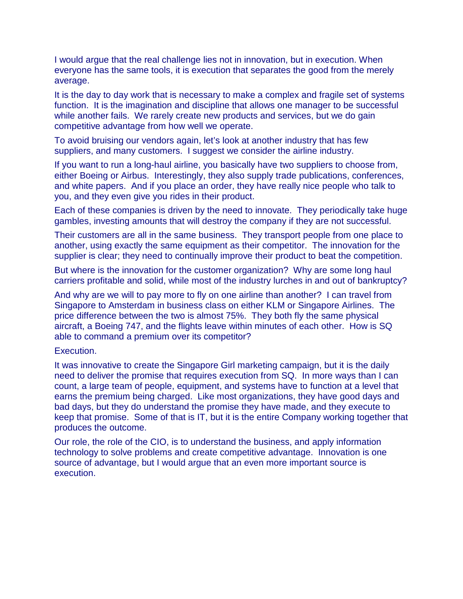I would argue that the real challenge lies not in innovation, but in execution. When everyone has the same tools, it is execution that separates the good from the merely average.

It is the day to day work that is necessary to make a complex and fragile set of systems function. It is the imagination and discipline that allows one manager to be successful while another fails. We rarely create new products and services, but we do gain competitive advantage from how well we operate.

To avoid bruising our vendors again, let's look at another industry that has few suppliers, and many customers. I suggest we consider the airline industry.

If you want to run a long-haul airline, you basically have two suppliers to choose from, either Boeing or Airbus. Interestingly, they also supply trade publications, conferences, and white papers. And if you place an order, they have really nice people who talk to you, and they even give you rides in their product.

Each of these companies is driven by the need to innovate. They periodically take huge gambles, investing amounts that will destroy the company if they are not successful.

Their customers are all in the same business. They transport people from one place to another, using exactly the same equipment as their competitor. The innovation for the supplier is clear; they need to continually improve their product to beat the competition.

But where is the innovation for the customer organization? Why are some long haul carriers profitable and solid, while most of the industry lurches in and out of bankruptcy?

And why are we will to pay more to fly on one airline than another? I can travel from Singapore to Amsterdam in business class on either KLM or Singapore Airlines. The price difference between the two is almost 75%. They both fly the same physical aircraft, a Boeing 747, and the flights leave within minutes of each other. How is SQ able to command a premium over its competitor?

## Execution.

It was innovative to create the Singapore Girl marketing campaign, but it is the daily need to deliver the promise that requires execution from SQ. In more ways than I can count, a large team of people, equipment, and systems have to function at a level that earns the premium being charged. Like most organizations, they have good days and bad days, but they do understand the promise they have made, and they execute to keep that promise. Some of that is IT, but it is the entire Company working together that produces the outcome.

Our role, the role of the CIO, is to understand the business, and apply information technology to solve problems and create competitive advantage. Innovation is one source of advantage, but I would argue that an even more important source is execution.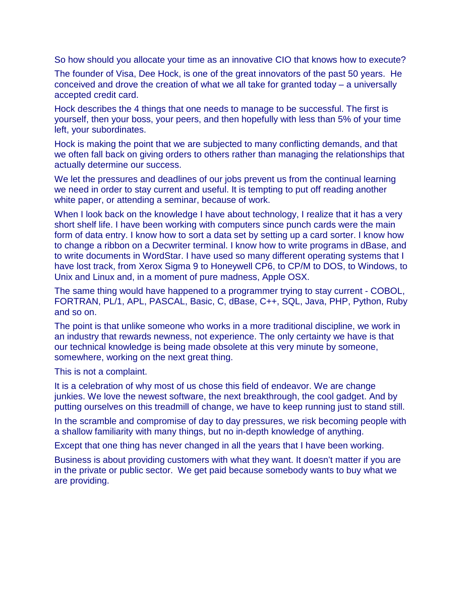So how should you allocate your time as an innovative CIO that knows how to execute?

The founder of Visa, Dee Hock, is one of the great innovators of the past 50 years. He conceived and drove the creation of what we all take for granted today – a universally accepted credit card.

Hock describes the 4 things that one needs to manage to be successful. The first is yourself, then your boss, your peers, and then hopefully with less than 5% of your time left, your subordinates.

Hock is making the point that we are subjected to many conflicting demands, and that we often fall back on giving orders to others rather than managing the relationships that actually determine our success.

We let the pressures and deadlines of our jobs prevent us from the continual learning we need in order to stay current and useful. It is tempting to put off reading another white paper, or attending a seminar, because of work.

When I look back on the knowledge I have about technology, I realize that it has a very short shelf life. I have been working with computers since punch cards were the main form of data entry. I know how to sort a data set by setting up a card sorter. I know how to change a ribbon on a Decwriter terminal. I know how to write programs in dBase, and to write documents in WordStar. I have used so many different operating systems that I have lost track, from Xerox Sigma 9 to Honeywell CP6, to CP/M to DOS, to Windows, to Unix and Linux and, in a moment of pure madness, Apple OSX.

The same thing would have happened to a programmer trying to stay current - COBOL, FORTRAN, PL/1, APL, PASCAL, Basic, C, dBase, C++, SQL, Java, PHP, Python, Ruby and so on.

The point is that unlike someone who works in a more traditional discipline, we work in an industry that rewards newness, not experience. The only certainty we have is that our technical knowledge is being made obsolete at this very minute by someone, somewhere, working on the next great thing.

This is not a complaint.

It is a celebration of why most of us chose this field of endeavor. We are change junkies. We love the newest software, the next breakthrough, the cool gadget. And by putting ourselves on this treadmill of change, we have to keep running just to stand still.

In the scramble and compromise of day to day pressures, we risk becoming people with a shallow familiarity with many things, but no in-depth knowledge of anything.

Except that one thing has never changed in all the years that I have been working.

Business is about providing customers with what they want. It doesn't matter if you are in the private or public sector. We get paid because somebody wants to buy what we are providing.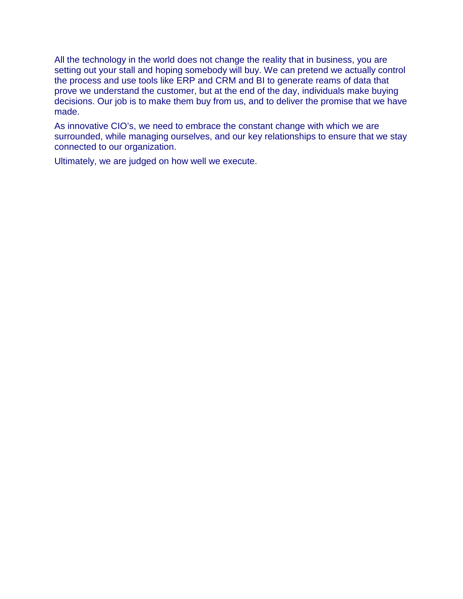All the technology in the world does not change the reality that in business, you are setting out your stall and hoping somebody will buy. We can pretend we actually control the process and use tools like ERP and CRM and BI to generate reams of data that prove we understand the customer, but at the end of the day, individuals make buying decisions. Our job is to make them buy from us, and to deliver the promise that we have made.

As innovative CIO's, we need to embrace the constant change with which we are surrounded, while managing ourselves, and our key relationships to ensure that we stay connected to our organization.

Ultimately, we are judged on how well we execute.